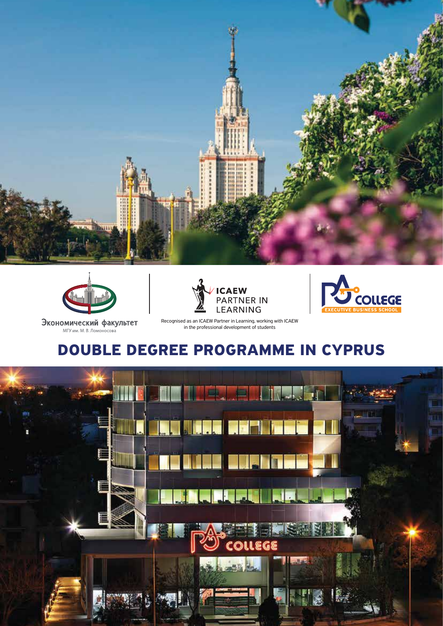







Экономический факультет МГУ им. М. В. Ломоносова

Recognised as an ICAEW Partner in Learning, working with ICAEW in the professional development of students

# **DOUBLE DEGREE PROGRAMME IN CYPRUS**

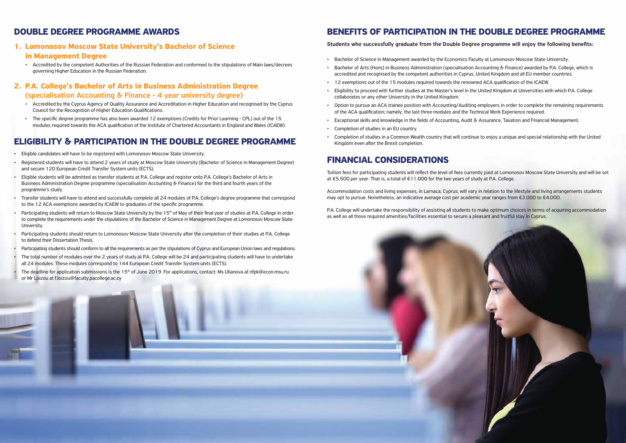- Eligible candidates will have to be registered with Lomonosov Moscow State University.
- Registered students will have to attend 2 years of study at Moscow State University (Bachelor of Science in Management Degree) and secure 120 European Credit Transfer System units (ECTS).
- Eligible students will be admitted as transfer students at P.A. College and register onto P.A. College's Bachelor of Arts in Business Administration Degree programme (specialisation Accounting & Finance) for the third and fourth years of the programme's study.
- Transfer students will have to attend and successfully complete all 24 modules of P.A. College's degree programme that correspond to the 12 ACA exemptions awarded by ICAEW to graduates of the specific programme.
- Participating students will return to Moscow State University by the 15<sup>th</sup> of May of their final year of studies at P.A. College in order to complete the requirements under the stipulations of the Bachelor of Science in Management Degree at Lomonosov Moscow State University.
- Participating students should return to Lomonosov Moscow State University after the completion of their studies at P.A. College to defend their Dissertation Thesis.
- Participating students should conform to all the requirements as per the stipulations of Cyprus and European Union laws and regulations.
- The total number of modules over the 2 years of study at P.A. College will be 24 and participating students will have to undertake all 24 modules. These modules correspond to 144 European Credit Transfer System units (ECTS).
- The deadline for application submissions is the 15<sup>th</sup> of June 2019. For applications, contact: Ms Ulianova at nfpk@econ.msu.ru or Mr Loizou at f.loizou@faculty.pacollege.ac.cy
- Bachelor of Science in Management awarded by the Economics Faculty at Lomonosov Moscow State University.
- Bachelor of Arts (Hons) in Business Administration (specialisation Accounting & Finance) awarded by P.A. College, which is accredited and recognised by the competent authorities in Cyprus, United Kingdom and all EU member countries.
- 12 exemptions out of the 15 modules required towards the renowned ACA qualification of the ICAEW.
- Eligibility to proceed with further studies at the Master's level in the United Kingdom at Universities with which P.A. College collaborates or any other University in the United Kingdom.
- Option to pursue an ACA trainee position with Accounting/Auditing employers in order to complete the remaining requirements of the ACA qualification; namely, the last three modules and the Technical Work Experience required.
- Exceptional skills and knowledge in the fields of Accounting, Audit & Assurance, Taxation and Financial Management.
- Completion of studies in an EU country.
- Completion of studies in a Common Wealth country that will continue to enjoy a unique and special relationship with the United Kingdom even after the Brexit completion.

### **1. Lomonosov Moscow State University's Bachelor of Science**

#### **in Management Degree**

 • Accredited by the competent Authorities of the Russian Federation and conformed to the stipulations of Main laws/decrees governing Higher Education in the Russian Federation.

### **2. P.A. College's Bachelor of Arts in Business Administration Degree** (specialisation Accounting & Finance - 4 year university degree)

- Accredited by the Cyprus Agency of Quality Assurance and Accreditation in Higher Education and recognised by the Cyprus Council for the Recognition of Higher Education Qualifications.
- The specific degree programme has also been awarded 12 exemptions (Credits for Prior Learning CPL) out of the 15 modules required towards the ACA qualification of the Institute of Chartered Accountants in England and Wales (ICAEW).

### **DOUBLE DEGREE PROGRAMME AWARDS**

### **ELIGIBILITY & PARTICIPATION IN THE DOUBLE DEGREE PROGRAMME**

#### Students who successfully graduate from the Double Degree programme will enjoy the following benefits:

## **BENEFITS OF PARTICIPATION IN THE DOUBLE DEGREE PROGRAMME**

Tuition fees for participating students will reflect the level of fees currently paid at Lomonosov Moscow State University and will be set at €5.500 per year. That is, a total of €11.000 for the two years of study at P.A. College.

Accommodation costs and living expenses, in Larnaca, Cyprus, will vary in relation to the lifestyle and living arrangements students may opt to pursue. Nonetheless, an indicative average cost per academic year ranges from €3.000 to €4.000.

P.A. College will undertake the responsibility of assisting all students to make optimum choices in terms of acquiring accommodation as well as all those required amenities/facilities essential to secure a pleasant and fruitful stay in Cyprus.

## **FINANCIAL CONSIDERATIONS**